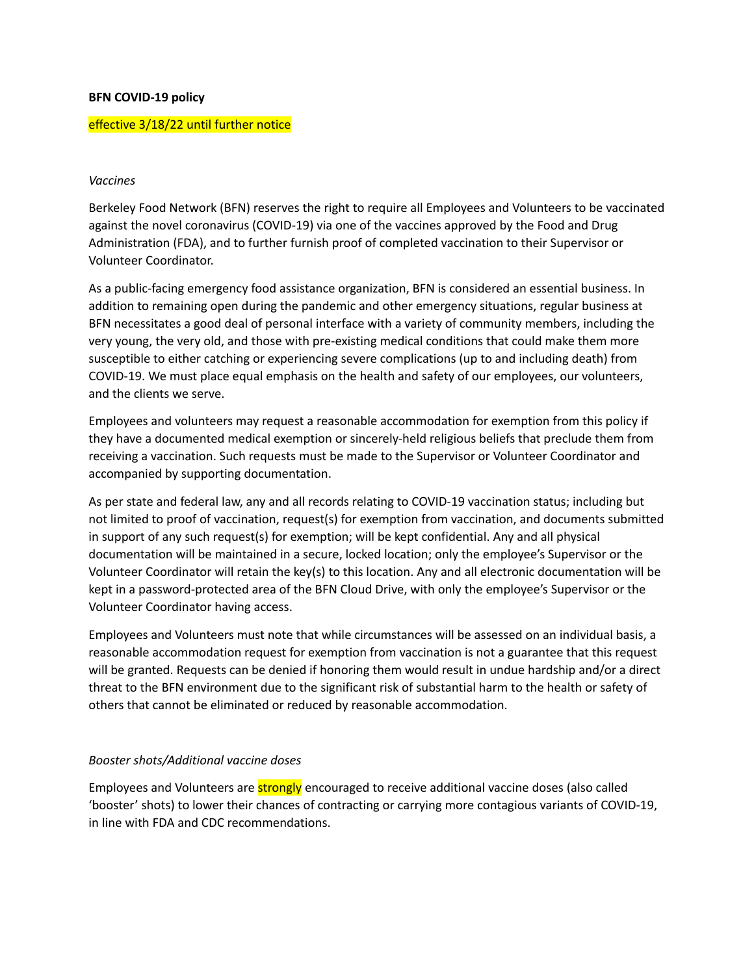## **BFN COVID-19 policy**

## effective 3/18/22 until further notice

## *Vaccines*

Berkeley Food Network (BFN) reserves the right to require all Employees and Volunteers to be vaccinated against the novel coronavirus (COVID-19) via one of the vaccines approved by the Food and Drug Administration (FDA), and to further furnish proof of completed vaccination to their Supervisor or Volunteer Coordinator.

As a public-facing emergency food assistance organization, BFN is considered an essential business. In addition to remaining open during the pandemic and other emergency situations, regular business at BFN necessitates a good deal of personal interface with a variety of community members, including the very young, the very old, and those with pre-existing medical conditions that could make them more susceptible to either catching or experiencing severe complications (up to and including death) from COVID-19. We must place equal emphasis on the health and safety of our employees, our volunteers, and the clients we serve.

Employees and volunteers may request a reasonable accommodation for exemption from this policy if they have a documented medical exemption or sincerely-held religious beliefs that preclude them from receiving a vaccination. Such requests must be made to the Supervisor or Volunteer Coordinator and accompanied by supporting documentation.

As per state and federal law, any and all records relating to COVID-19 vaccination status; including but not limited to proof of vaccination, request(s) for exemption from vaccination, and documents submitted in support of any such request(s) for exemption; will be kept confidential. Any and all physical documentation will be maintained in a secure, locked location; only the employee's Supervisor or the Volunteer Coordinator will retain the key(s) to this location. Any and all electronic documentation will be kept in a password-protected area of the BFN Cloud Drive, with only the employee's Supervisor or the Volunteer Coordinator having access.

Employees and Volunteers must note that while circumstances will be assessed on an individual basis, a reasonable accommodation request for exemption from vaccination is not a guarantee that this request will be granted. Requests can be denied if honoring them would result in undue hardship and/or a direct threat to the BFN environment due to the significant risk of substantial harm to the health or safety of others that cannot be eliminated or reduced by reasonable accommodation.

#### *Booster shots/Additional vaccine doses*

Employees and Volunteers are **strongly** encouraged to receive additional vaccine doses (also called 'booster' shots) to lower their chances of contracting or carrying more contagious variants of COVID-19, in line with FDA and CDC recommendations.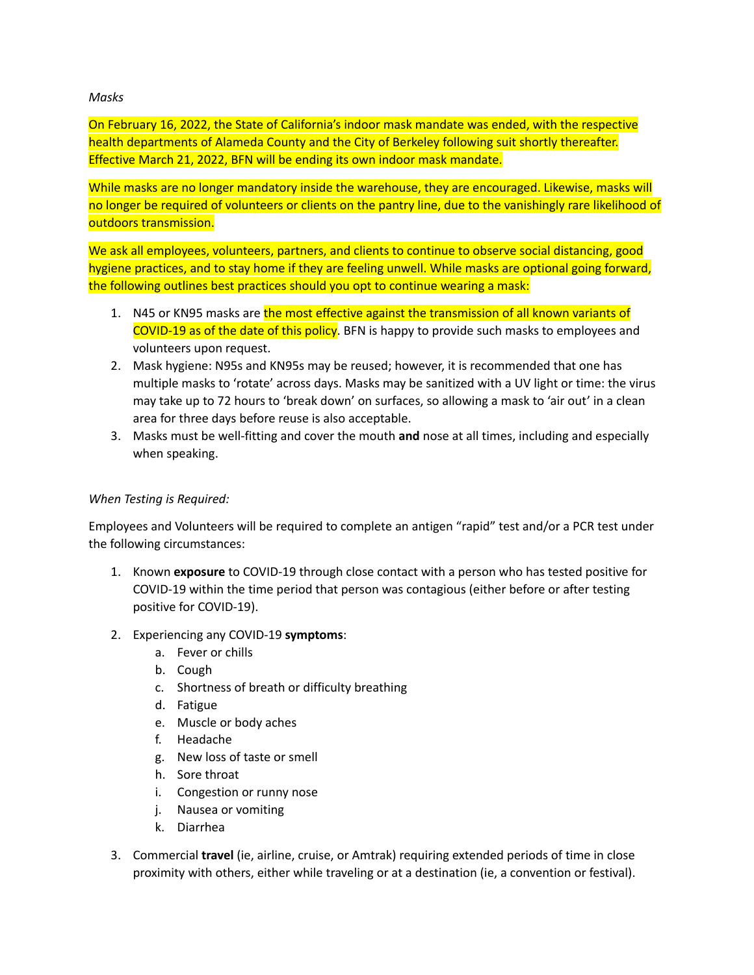## *Masks*

On February 16, 2022, the State of California's indoor mask mandate was ended, with the respective health departments of Alameda County and the City of Berkeley following suit shortly thereafter. Effective March 21, 2022, BFN will be ending its own indoor mask mandate.

While masks are no longer mandatory inside the warehouse, they are encouraged. Likewise, masks will no longer be required of volunteers or clients on the pantry line, due to the vanishingly rare likelihood of outdoors transmission.

We ask all employees, volunteers, partners, and clients to continue to observe social distancing, good hygiene practices, and to stay home if they are feeling unwell. While masks are optional going forward, the following outlines best practices should you opt to continue wearing a mask:

- 1. N45 or KN95 masks are the most effective against the transmission of all known variants of COVID-19 as of the date of this policy. BFN is happy to provide such masks to employees and volunteers upon request.
- 2. Mask hygiene: N95s and KN95s may be reused; however, it is recommended that one has multiple masks to 'rotate' across days. Masks may be sanitized with a UV light or time: the virus may take up to 72 hours to 'break down' on surfaces, so allowing a mask to 'air out' in a clean area for three days before reuse is also acceptable.
- 3. Masks must be well-fitting and cover the mouth **and** nose at all times, including and especially when speaking.

# *When Testing is Required:*

Employees and Volunteers will be required to complete an antigen "rapid" test and/or a PCR test under the following circumstances:

- 1. Known **exposure** to COVID-19 through close contact with a person who has tested positive for COVID-19 within the time period that person was contagious (either before or after testing positive for COVID-19).
- 2. Experiencing any COVID-19 **symptoms**:
	- a. Fever or chills
	- b. Cough
	- c. Shortness of breath or difficulty breathing
	- d. Fatigue
	- e. Muscle or body aches
	- f. Headache
	- g. New loss of taste or smell
	- h. Sore throat
	- i. Congestion or runny nose
	- j. Nausea or vomiting
	- k. Diarrhea
- 3. Commercial **travel** (ie, airline, cruise, or Amtrak) requiring extended periods of time in close proximity with others, either while traveling or at a destination (ie, a convention or festival).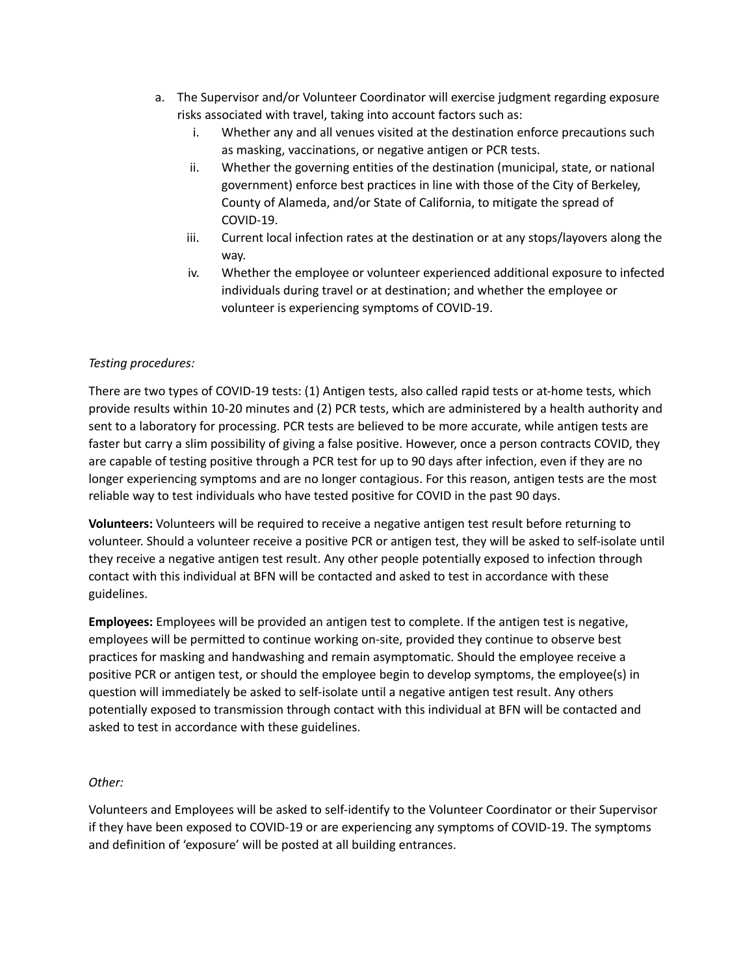- a. The Supervisor and/or Volunteer Coordinator will exercise judgment regarding exposure risks associated with travel, taking into account factors such as:
	- i. Whether any and all venues visited at the destination enforce precautions such as masking, vaccinations, or negative antigen or PCR tests.
	- ii. Whether the governing entities of the destination (municipal, state, or national government) enforce best practices in line with those of the City of Berkeley, County of Alameda, and/or State of California, to mitigate the spread of COVID-19.
	- iii. Current local infection rates at the destination or at any stops/layovers along the way.
	- iv. Whether the employee or volunteer experienced additional exposure to infected individuals during travel or at destination; and whether the employee or volunteer is experiencing symptoms of COVID-19.

# *Testing procedures:*

There are two types of COVID-19 tests: (1) Antigen tests, also called rapid tests or at-home tests, which provide results within 10-20 minutes and (2) PCR tests, which are administered by a health authority and sent to a laboratory for processing. PCR tests are believed to be more accurate, while antigen tests are faster but carry a slim possibility of giving a false positive. However, once a person contracts COVID, they are capable of testing positive through a PCR test for up to 90 days after infection, even if they are no longer experiencing symptoms and are no longer contagious. For this reason, antigen tests are the most reliable way to test individuals who have tested positive for COVID in the past 90 days.

**Volunteers:** Volunteers will be required to receive a negative antigen test result before returning to volunteer. Should a volunteer receive a positive PCR or antigen test, they will be asked to self-isolate until they receive a negative antigen test result. Any other people potentially exposed to infection through contact with this individual at BFN will be contacted and asked to test in accordance with these guidelines.

**Employees:** Employees will be provided an antigen test to complete. If the antigen test is negative, employees will be permitted to continue working on-site, provided they continue to observe best practices for masking and handwashing and remain asymptomatic. Should the employee receive a positive PCR or antigen test, or should the employee begin to develop symptoms, the employee(s) in question will immediately be asked to self-isolate until a negative antigen test result. Any others potentially exposed to transmission through contact with this individual at BFN will be contacted and asked to test in accordance with these guidelines.

# *Other:*

Volunteers and Employees will be asked to self-identify to the Volunteer Coordinator or their Supervisor if they have been exposed to COVID-19 or are experiencing any symptoms of COVID-19. The symptoms and definition of 'exposure' will be posted at all building entrances.